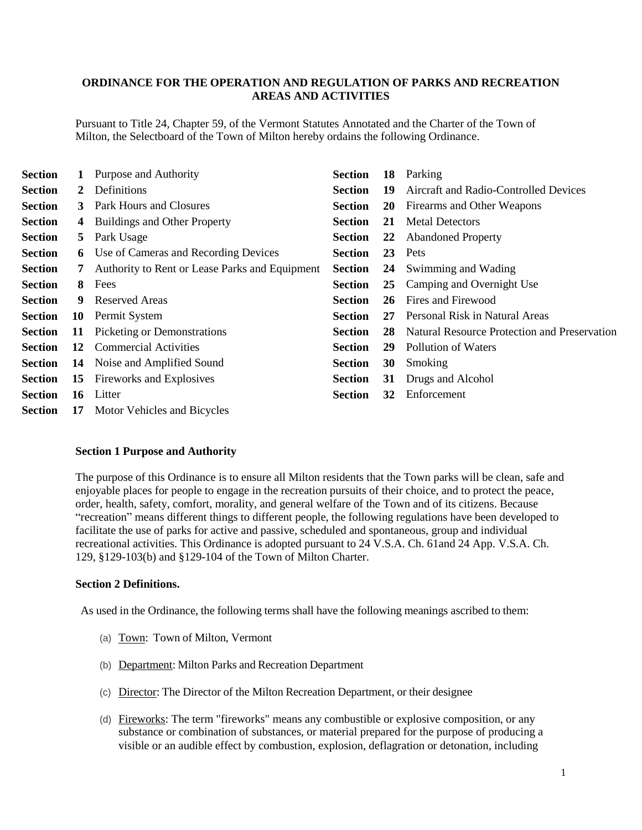# **ORDINANCE FOR THE OPERATION AND REGULATION OF PARKS AND RECREATION AREAS AND ACTIVITIES**

Pursuant to Title 24, Chapter 59, of the Vermont Statutes Annotated and the Charter of the Town of Milton, the Selectboard of the Town of Milton hereby ordains the following Ordinance.

| <b>Section</b> |    | Purpose and Authority                          | <b>Section</b> | 18        | Parking                                      |
|----------------|----|------------------------------------------------|----------------|-----------|----------------------------------------------|
| <b>Section</b> | 2  | Definitions                                    | <b>Section</b> | 19        | Aircraft and Radio-Controlled Devices        |
| <b>Section</b> | 3  | Park Hours and Closures                        | <b>Section</b> | <b>20</b> | Firearms and Other Weapons                   |
| <b>Section</b> | 4  | <b>Buildings and Other Property</b>            | <b>Section</b> | 21        | <b>Metal Detectors</b>                       |
| <b>Section</b> | 5. | Park Usage                                     | <b>Section</b> | 22        | <b>Abandoned Property</b>                    |
| <b>Section</b> | 6  | Use of Cameras and Recording Devices           | <b>Section</b> | 23        | Pets                                         |
| <b>Section</b> | 7  | Authority to Rent or Lease Parks and Equipment | <b>Section</b> | 24        | Swimming and Wading                          |
| <b>Section</b> | 8. | Fees                                           | <b>Section</b> | 25        | Camping and Overnight Use                    |
| <b>Section</b> | 9  | <b>Reserved Areas</b>                          | <b>Section</b> | 26        | Fires and Firewood                           |
| <b>Section</b> | 10 | Permit System                                  | <b>Section</b> | 27        | Personal Risk in Natural Areas               |
| <b>Section</b> | 11 | <b>Picketing or Demonstrations</b>             | <b>Section</b> | 28        | Natural Resource Protection and Preservation |
| <b>Section</b> | 12 | <b>Commercial Activities</b>                   | <b>Section</b> | 29        | Pollution of Waters                          |
| <b>Section</b> | 14 | Noise and Amplified Sound                      | <b>Section</b> | 30        | Smoking                                      |
| <b>Section</b> | 15 | Fireworks and Explosives                       | <b>Section</b> | 31        | Drugs and Alcohol                            |
| <b>Section</b> | 16 | Litter                                         | <b>Section</b> | 32        | Enforcement                                  |
| <b>Section</b> | 17 | Motor Vehicles and Bicycles                    |                |           |                                              |

#### **Section 1 Purpose and Authority**

The purpose of this Ordinance is to ensure all Milton residents that the Town parks will be clean, safe and enjoyable places for people to engage in the recreation pursuits of their choice, and to protect the peace, order, health, safety, comfort, morality, and general welfare of the Town and of its citizens. Because "recreation" means different things to different people, the following regulations have been developed to facilitate the use of parks for active and passive, scheduled and spontaneous, group and individual recreational activities. This Ordinance is adopted pursuant to 24 V.S.A. Ch. 61and 24 App. V.S.A. Ch. 129, §129-103(b) and §129-104 of the Town of Milton Charter.

## **Section 2 Definitions.**

As used in the Ordinance, the following terms shall have the following meanings ascribed to them:

- (a) Town: Town of Milton, Vermont
- (b) Department: Milton Parks and Recreation Department
- (c) Director: The Director of the Milton Recreation Department, or their designee
- (d) Fireworks: The term "fireworks" means any combustible or explosive composition, or any substance or combination of substances, or material prepared for the purpose of producing a visible or an audible effect by combustion, explosion, deflagration or detonation, including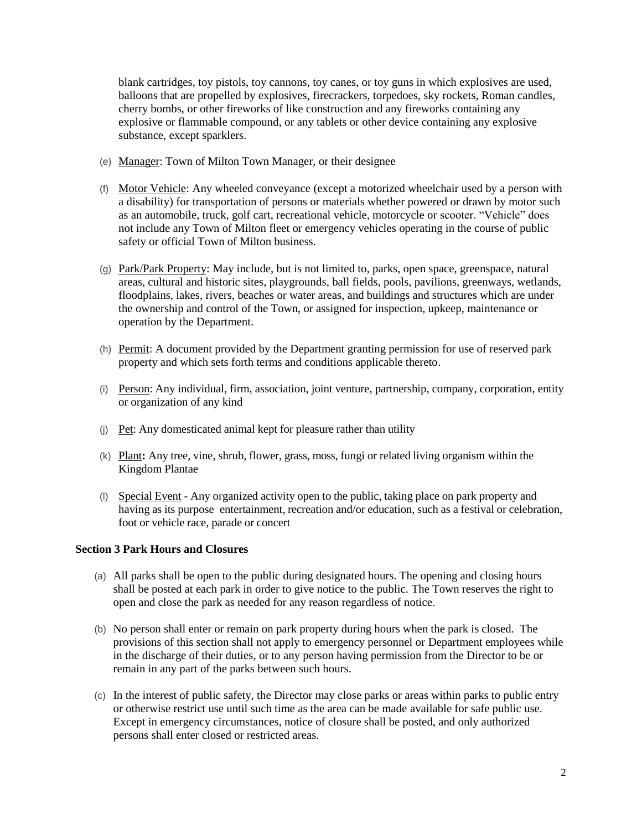blank cartridges, toy pistols, toy cannons, toy canes, or toy guns in which explosives are used, balloons that are propelled by explosives, firecrackers, torpedoes, sky rockets, Roman candles, cherry bombs, or other fireworks of like construction and any fireworks containing any explosive or flammable compound, or any tablets or other device containing any explosive substance, except sparklers.

- (e) Manager: Town of Milton Town Manager, or their designee
- (f) Motor Vehicle: Any wheeled conveyance (except a motorized wheelchair used by a person with a disability) for transportation of persons or materials whether powered or drawn by motor such as an automobile, truck, golf cart, recreational vehicle, motorcycle or scooter. "Vehicle" does not include any Town of Milton fleet or emergency vehicles operating in the course of public safety or official Town of Milton business.
- (g) Park/Park Property: May include, but is not limited to, parks, open space, greenspace, natural areas, cultural and historic sites, playgrounds, ball fields, pools, pavilions, greenways, wetlands, floodplains, lakes, rivers, beaches or water areas, and buildings and structures which are under the ownership and control of the Town, or assigned for inspection, upkeep, maintenance or operation by the Department.
- (h) Permit: A document provided by the Department granting permission for use of reserved park property and which sets forth terms and conditions applicable thereto.
- (i) Person: Any individual, firm, association, joint venture, partnership, company, corporation, entity or organization of any kind
- (j) Pet: Any domesticated animal kept for pleasure rather than utility
- (k) Plant**:** Any tree, vine, shrub, flower, grass, moss, fungi or related living organism within the Kingdom Plantae
- (l) Special Event Any organized activity open to the public, taking place on park property and having as its purpose entertainment, recreation and/or education, such as a festival or celebration, foot or vehicle race, parade or concert

## **Section 3 Park Hours and Closures**

- (a) All parks shall be open to the public during designated hours. The opening and closing hours shall be posted at each park in order to give notice to the public. The Town reserves the right to open and close the park as needed for any reason regardless of notice.
- (b) No person shall enter or remain on park property during hours when the park is closed. The provisions of this section shall not apply to emergency personnel or Department employees while in the discharge of their duties, or to any person having permission from the Director to be or remain in any part of the parks between such hours.
- (c) In the interest of public safety, the Director may close parks or areas within parks to public entry or otherwise restrict use until such time as the area can be made available for safe public use. Except in emergency circumstances, notice of closure shall be posted, and only authorized persons shall enter closed or restricted areas.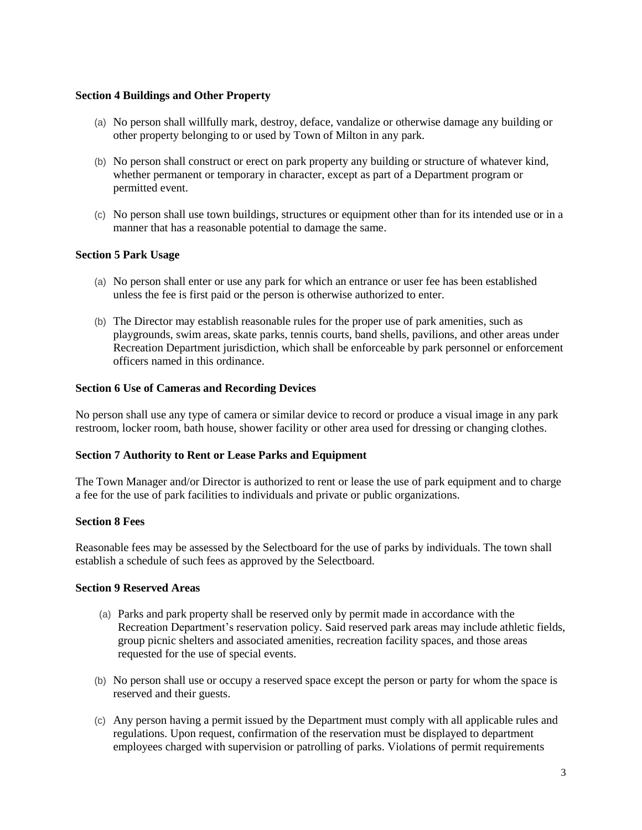## **Section 4 Buildings and Other Property**

- (a) No person shall willfully mark, destroy, deface, vandalize or otherwise damage any building or other property belonging to or used by Town of Milton in any park.
- (b) No person shall construct or erect on park property any building or structure of whatever kind, whether permanent or temporary in character, except as part of a Department program or permitted event.
- (c) No person shall use town buildings, structures or equipment other than for its intended use or in a manner that has a reasonable potential to damage the same.

### **Section 5 Park Usage**

- (a) No person shall enter or use any park for which an entrance or user fee has been established unless the fee is first paid or the person is otherwise authorized to enter.
- (b) The Director may establish reasonable rules for the proper use of park amenities, such as playgrounds, swim areas, skate parks, tennis courts, band shells, pavilions, and other areas under Recreation Department jurisdiction, which shall be enforceable by park personnel or enforcement officers named in this ordinance.

### **Section 6 Use of Cameras and Recording Devices**

No person shall use any type of camera or similar device to record or produce a visual image in any park restroom, locker room, bath house, shower facility or other area used for dressing or changing clothes.

#### **Section 7 Authority to Rent or Lease Parks and Equipment**

The Town Manager and/or Director is authorized to rent or lease the use of park equipment and to charge a fee for the use of park facilities to individuals and private or public organizations.

### **Section 8 Fees**

Reasonable fees may be assessed by the Selectboard for the use of parks by individuals. The town shall establish a schedule of such fees as approved by the Selectboard.

#### **Section 9 Reserved Areas**

- (a) Parks and park property shall be reserved only by permit made in accordance with the Recreation Department's reservation policy. Said reserved park areas may include athletic fields, group picnic shelters and associated amenities, recreation facility spaces, and those areas requested for the use of special events.
- (b) No person shall use or occupy a reserved space except the person or party for whom the space is reserved and their guests.
- (c) Any person having a permit issued by the Department must comply with all applicable rules and regulations. Upon request, confirmation of the reservation must be displayed to department employees charged with supervision or patrolling of parks. Violations of permit requirements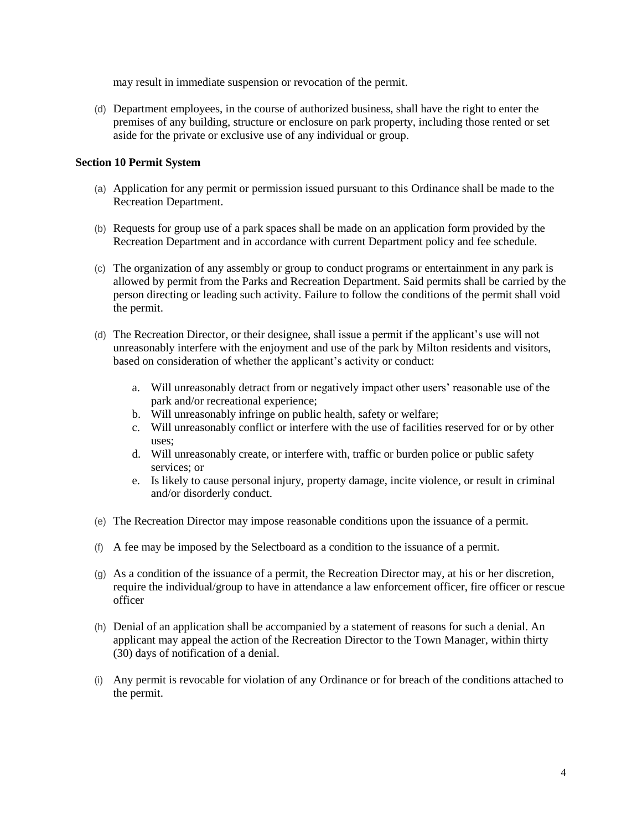may result in immediate suspension or revocation of the permit.

(d) Department employees, in the course of authorized business, shall have the right to enter the premises of any building, structure or enclosure on park property, including those rented or set aside for the private or exclusive use of any individual or group.

# **Section 10 Permit System**

- (a) Application for any permit or permission issued pursuant to this Ordinance shall be made to the Recreation Department.
- (b) Requests for group use of a park spaces shall be made on an application form provided by the Recreation Department and in accordance with current Department policy and fee schedule.
- (c) The organization of any assembly or group to conduct programs or entertainment in any park is allowed by permit from the Parks and Recreation Department. Said permits shall be carried by the person directing or leading such activity. Failure to follow the conditions of the permit shall void the permit.
- (d) The Recreation Director, or their designee, shall issue a permit if the applicant's use will not unreasonably interfere with the enjoyment and use of the park by Milton residents and visitors, based on consideration of whether the applicant's activity or conduct:
	- a. Will unreasonably detract from or negatively impact other users' reasonable use of the park and/or recreational experience;
	- b. Will unreasonably infringe on public health, safety or welfare;
	- c. Will unreasonably conflict or interfere with the use of facilities reserved for or by other uses;
	- d. Will unreasonably create, or interfere with, traffic or burden police or public safety services; or
	- e. Is likely to cause personal injury, property damage, incite violence, or result in criminal and/or disorderly conduct.
- (e) The Recreation Director may impose reasonable conditions upon the issuance of a permit.
- (f) A fee may be imposed by the Selectboard as a condition to the issuance of a permit.
- (g) As a condition of the issuance of a permit, the Recreation Director may, at his or her discretion, require the individual/group to have in attendance a law enforcement officer, fire officer or rescue officer
- (h) Denial of an application shall be accompanied by a statement of reasons for such a denial. An applicant may appeal the action of the Recreation Director to the Town Manager, within thirty (30) days of notification of a denial.
- (i) Any permit is revocable for violation of any Ordinance or for breach of the conditions attached to the permit.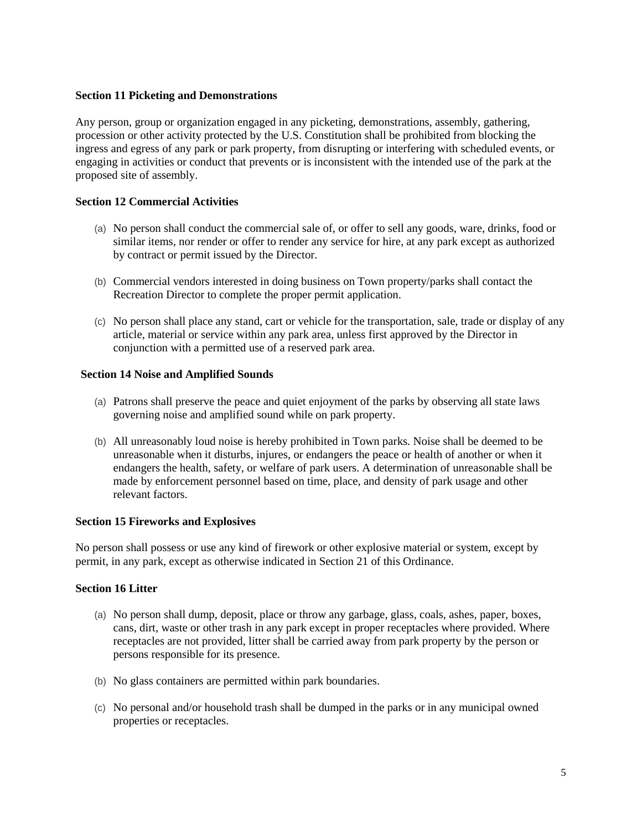## **Section 11 Picketing and Demonstrations**

Any person, group or organization engaged in any picketing, demonstrations, assembly, gathering, procession or other activity protected by the U.S. Constitution shall be prohibited from blocking the ingress and egress of any park or park property, from disrupting or interfering with scheduled events, or engaging in activities or conduct that prevents or is inconsistent with the intended use of the park at the proposed site of assembly.

# **Section 12 Commercial Activities**

- (a) No person shall conduct the commercial sale of, or offer to sell any goods, ware, drinks, food or similar items, nor render or offer to render any service for hire, at any park except as authorized by contract or permit issued by the Director.
- (b) Commercial vendors interested in doing business on Town property/parks shall contact the Recreation Director to complete the proper permit application.
- (c) No person shall place any stand, cart or vehicle for the transportation, sale, trade or display of any article, material or service within any park area, unless first approved by the Director in conjunction with a permitted use of a reserved park area.

## **Section 14 Noise and Amplified Sounds**

- (a) Patrons shall preserve the peace and quiet enjoyment of the parks by observing all state laws governing noise and amplified sound while on park property.
- (b) All unreasonably loud noise is hereby prohibited in Town parks. Noise shall be deemed to be unreasonable when it disturbs, injures, or endangers the peace or health of another or when it endangers the health, safety, or welfare of park users. A determination of unreasonable shall be made by enforcement personnel based on time, place, and density of park usage and other relevant factors.

## **Section 15 Fireworks and Explosives**

No person shall possess or use any kind of firework or other explosive material or system, except by permit, in any park, except as otherwise indicated in Section 21 of this Ordinance.

## **Section 16 Litter**

- (a) No person shall dump, deposit, place or throw any garbage, glass, coals, ashes, paper, boxes, cans, dirt, waste or other trash in any park except in proper receptacles where provided. Where receptacles are not provided, litter shall be carried away from park property by the person or persons responsible for its presence.
- (b) No glass containers are permitted within park boundaries.
- (c) No personal and/or household trash shall be dumped in the parks or in any municipal owned properties or receptacles.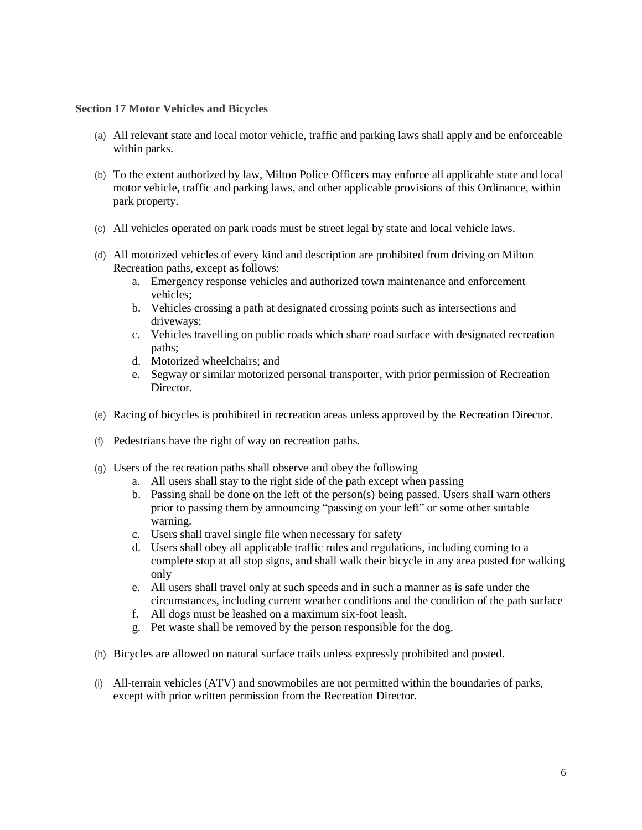#### **Section 17 Motor Vehicles and Bicycles**

- (a) All relevant state and local motor vehicle, traffic and parking laws shall apply and be enforceable within parks.
- (b) To the extent authorized by law, Milton Police Officers may enforce all applicable state and local motor vehicle, traffic and parking laws, and other applicable provisions of this Ordinance, within park property.
- (c) All vehicles operated on park roads must be street legal by state and local vehicle laws.
- (d) All motorized vehicles of every kind and description are prohibited from driving on Milton Recreation paths, except as follows:
	- a. Emergency response vehicles and authorized town maintenance and enforcement vehicles;
	- b. Vehicles crossing a path at designated crossing points such as intersections and driveways;
	- c. Vehicles travelling on public roads which share road surface with designated recreation paths;
	- d. Motorized wheelchairs; and
	- e. Segway or similar motorized personal transporter, with prior permission of Recreation Director.
- (e) Racing of bicycles is prohibited in recreation areas unless approved by the Recreation Director.
- (f) Pedestrians have the right of way on recreation paths.
- (g) Users of the recreation paths shall observe and obey the following
	- a. All users shall stay to the right side of the path except when passing
	- b. Passing shall be done on the left of the person(s) being passed. Users shall warn others prior to passing them by announcing "passing on your left" or some other suitable warning.
	- c. Users shall travel single file when necessary for safety
	- d. Users shall obey all applicable traffic rules and regulations, including coming to a complete stop at all stop signs, and shall walk their bicycle in any area posted for walking only
	- e. All users shall travel only at such speeds and in such a manner as is safe under the circumstances, including current weather conditions and the condition of the path surface
	- f. All dogs must be leashed on a maximum six-foot leash.
	- g. Pet waste shall be removed by the person responsible for the dog.
- (h) Bicycles are allowed on natural surface trails unless expressly prohibited and posted.
- (i) All-terrain vehicles (ATV) and snowmobiles are not permitted within the boundaries of parks, except with prior written permission from the Recreation Director.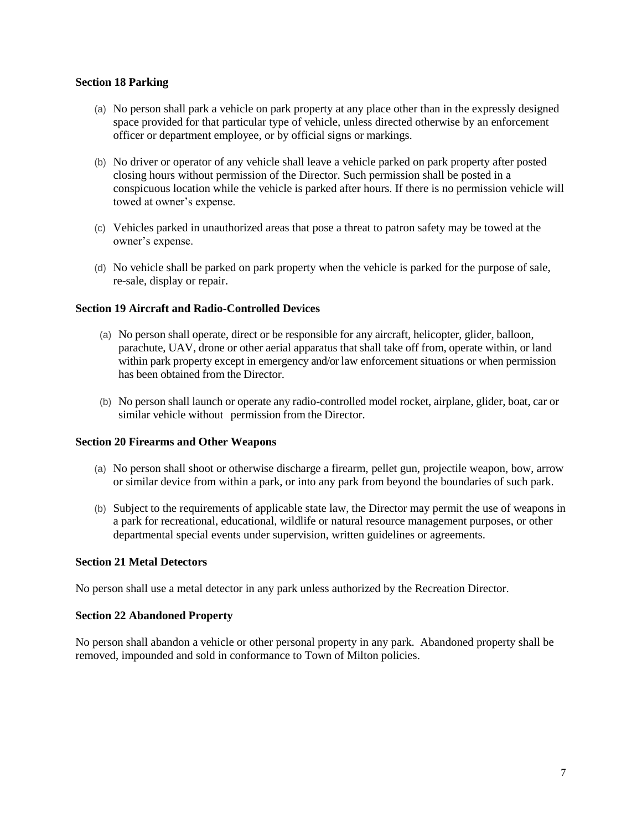### **Section 18 Parking**

- (a) No person shall park a vehicle on park property at any place other than in the expressly designed space provided for that particular type of vehicle, unless directed otherwise by an enforcement officer or department employee, or by official signs or markings.
- (b) No driver or operator of any vehicle shall leave a vehicle parked on park property after posted closing hours without permission of the Director. Such permission shall be posted in a conspicuous location while the vehicle is parked after hours. If there is no permission vehicle will towed at owner's expense.
- (c) Vehicles parked in unauthorized areas that pose a threat to patron safety may be towed at the owner's expense.
- (d) No vehicle shall be parked on park property when the vehicle is parked for the purpose of sale, re-sale, display or repair.

### **Section 19 Aircraft and Radio-Controlled Devices**

- (a) No person shall operate, direct or be responsible for any aircraft, helicopter, glider, balloon, parachute, UAV, drone or other aerial apparatus that shall take off from, operate within, or land within park property except in emergency and/or law enforcement situations or when permission has been obtained from the Director.
- (b) No person shall launch or operate any radio-controlled model rocket, airplane, glider, boat, car or similar vehicle without permission from the Director.

#### **Section 20 Firearms and Other Weapons**

- (a) No person shall shoot or otherwise discharge a firearm, pellet gun, projectile weapon, bow, arrow or similar device from within a park, or into any park from beyond the boundaries of such park.
- (b) Subject to the requirements of applicable state law, the Director may permit the use of weapons in a park for recreational, educational, wildlife or natural resource management purposes, or other departmental special events under supervision, written guidelines or agreements.

#### **Section 21 Metal Detectors**

No person shall use a metal detector in any park unless authorized by the Recreation Director.

#### **Section 22 Abandoned Property**

No person shall abandon a vehicle or other personal property in any park. Abandoned property shall be removed, impounded and sold in conformance to Town of Milton policies.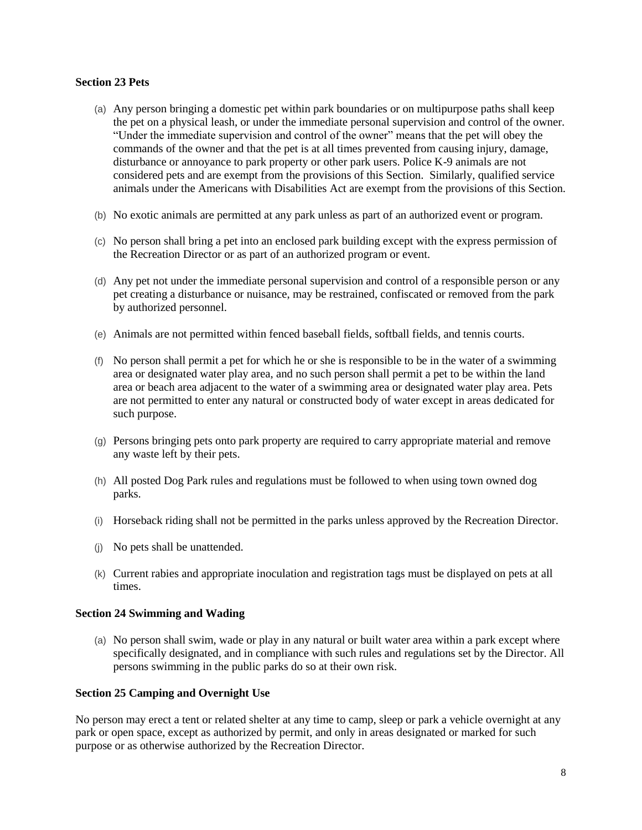### **Section 23 Pets**

- (a) Any person bringing a domestic pet within park boundaries or on multipurpose paths shall keep the pet on a physical leash, or under the immediate personal supervision and control of the owner. "Under the immediate supervision and control of the owner" means that the pet will obey the commands of the owner and that the pet is at all times prevented from causing injury, damage, disturbance or annoyance to park property or other park users. Police K-9 animals are not considered pets and are exempt from the provisions of this Section. Similarly, qualified service animals under the Americans with Disabilities Act are exempt from the provisions of this Section.
- (b) No exotic animals are permitted at any park unless as part of an authorized event or program.
- (c) No person shall bring a pet into an enclosed park building except with the express permission of the Recreation Director or as part of an authorized program or event.
- (d) Any pet not under the immediate personal supervision and control of a responsible person or any pet creating a disturbance or nuisance, may be restrained, confiscated or removed from the park by authorized personnel.
- (e) Animals are not permitted within fenced baseball fields, softball fields, and tennis courts.
- (f) No person shall permit a pet for which he or she is responsible to be in the water of a swimming area or designated water play area, and no such person shall permit a pet to be within the land area or beach area adjacent to the water of a swimming area or designated water play area. Pets are not permitted to enter any natural or constructed body of water except in areas dedicated for such purpose.
- (g) Persons bringing pets onto park property are required to carry appropriate material and remove any waste left by their pets.
- (h) All posted Dog Park rules and regulations must be followed to when using town owned dog parks.
- (i) Horseback riding shall not be permitted in the parks unless approved by the Recreation Director.
- (j) No pets shall be unattended.
- (k) Current rabies and appropriate inoculation and registration tags must be displayed on pets at all times.

# **Section 24 Swimming and Wading**

(a) No person shall swim, wade or play in any natural or built water area within a park except where specifically designated, and in compliance with such rules and regulations set by the Director. All persons swimming in the public parks do so at their own risk.

## **Section 25 Camping and Overnight Use**

No person may erect a tent or related shelter at any time to camp, sleep or park a vehicle overnight at any park or open space, except as authorized by permit, and only in areas designated or marked for such purpose or as otherwise authorized by the Recreation Director.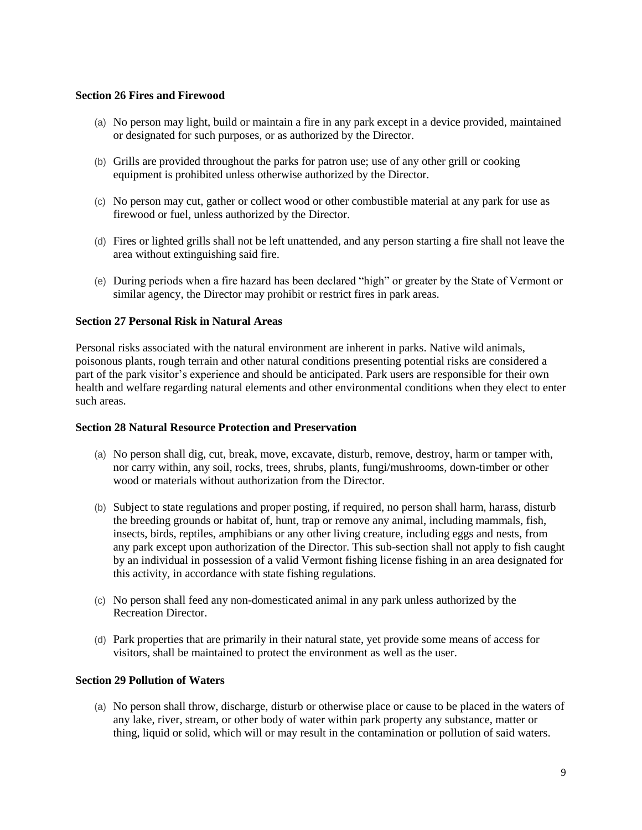# **Section 26 Fires and Firewood**

- (a) No person may light, build or maintain a fire in any park except in a device provided, maintained or designated for such purposes, or as authorized by the Director.
- (b) Grills are provided throughout the parks for patron use; use of any other grill or cooking equipment is prohibited unless otherwise authorized by the Director.
- (c) No person may cut, gather or collect wood or other combustible material at any park for use as firewood or fuel, unless authorized by the Director.
- (d) Fires or lighted grills shall not be left unattended, and any person starting a fire shall not leave the area without extinguishing said fire.
- (e) During periods when a fire hazard has been declared "high" or greater by the State of Vermont or similar agency, the Director may prohibit or restrict fires in park areas.

## **Section 27 Personal Risk in Natural Areas**

Personal risks associated with the natural environment are inherent in parks. Native wild animals, poisonous plants, rough terrain and other natural conditions presenting potential risks are considered a part of the park visitor's experience and should be anticipated. Park users are responsible for their own health and welfare regarding natural elements and other environmental conditions when they elect to enter such areas.

## **Section 28 Natural Resource Protection and Preservation**

- (a) No person shall dig, cut, break, move, excavate, disturb, remove, destroy, harm or tamper with, nor carry within, any soil, rocks, trees, shrubs, plants, fungi/mushrooms, down-timber or other wood or materials without authorization from the Director.
- (b) Subject to state regulations and proper posting, if required, no person shall harm, harass, disturb the breeding grounds or habitat of, hunt, trap or remove any animal, including mammals, fish, insects, birds, reptiles, amphibians or any other living creature, including eggs and nests, from any park except upon authorization of the Director. This sub-section shall not apply to fish caught by an individual in possession of a valid Vermont fishing license fishing in an area designated for this activity, in accordance with state fishing regulations.
- (c) No person shall feed any non-domesticated animal in any park unless authorized by the Recreation Director.
- (d) Park properties that are primarily in their natural state, yet provide some means of access for visitors, shall be maintained to protect the environment as well as the user.

## **Section 29 Pollution of Waters**

(a) No person shall throw, discharge, disturb or otherwise place or cause to be placed in the waters of any lake, river, stream, or other body of water within park property any substance, matter or thing, liquid or solid, which will or may result in the contamination or pollution of said waters.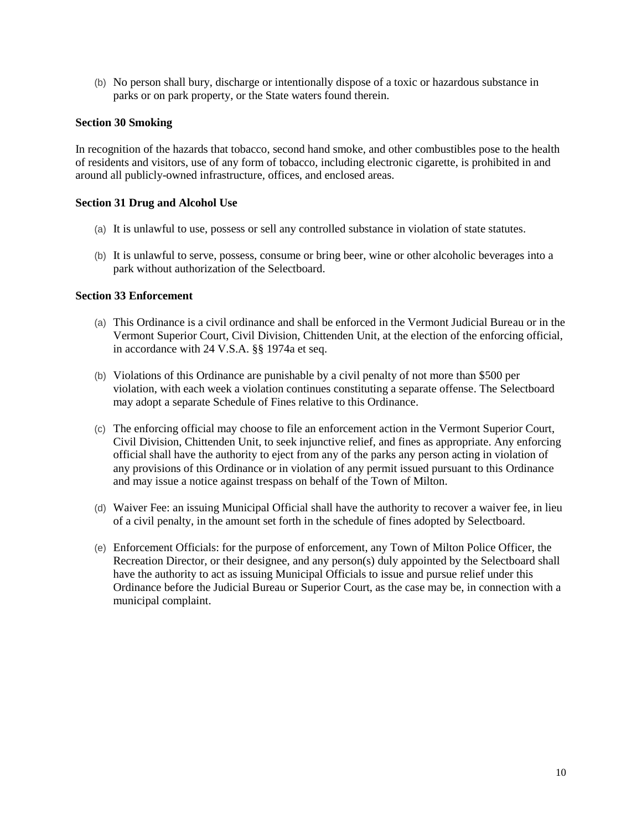(b) No person shall bury, discharge or intentionally dispose of a toxic or hazardous substance in parks or on park property, or the State waters found therein.

## **Section 30 Smoking**

In recognition of the hazards that tobacco, second hand smoke, and other combustibles pose to the health of residents and visitors, use of any form of tobacco, including electronic cigarette, is prohibited in and around all publicly-owned infrastructure, offices, and enclosed areas.

### **Section 31 Drug and Alcohol Use**

- (a) It is unlawful to use, possess or sell any controlled substance in violation of state statutes.
- (b) It is unlawful to serve, possess, consume or bring beer, wine or other alcoholic beverages into a park without authorization of the Selectboard.

### **Section 33 Enforcement**

- (a) This Ordinance is a civil ordinance and shall be enforced in the Vermont Judicial Bureau or in the Vermont Superior Court, Civil Division, Chittenden Unit, at the election of the enforcing official, in accordance with 24 V.S.A. §§ 1974a et seq.
- (b) Violations of this Ordinance are punishable by a civil penalty of not more than \$500 per violation, with each week a violation continues constituting a separate offense. The Selectboard may adopt a separate Schedule of Fines relative to this Ordinance.
- (c) The enforcing official may choose to file an enforcement action in the Vermont Superior Court, Civil Division, Chittenden Unit, to seek injunctive relief, and fines as appropriate. Any enforcing official shall have the authority to eject from any of the parks any person acting in violation of any provisions of this Ordinance or in violation of any permit issued pursuant to this Ordinance and may issue a notice against trespass on behalf of the Town of Milton.
- (d) Waiver Fee: an issuing Municipal Official shall have the authority to recover a waiver fee, in lieu of a civil penalty, in the amount set forth in the schedule of fines adopted by Selectboard.
- (e) Enforcement Officials: for the purpose of enforcement, any Town of Milton Police Officer, the Recreation Director, or their designee, and any person(s) duly appointed by the Selectboard shall have the authority to act as issuing Municipal Officials to issue and pursue relief under this Ordinance before the Judicial Bureau or Superior Court, as the case may be, in connection with a municipal complaint.